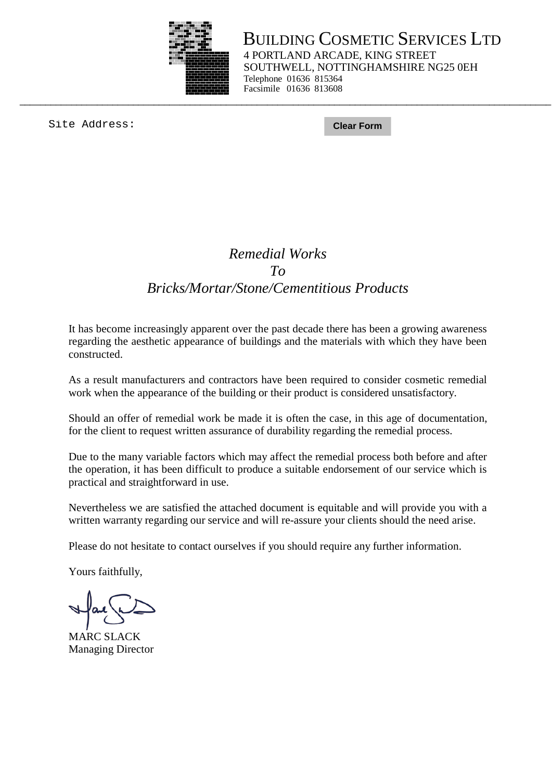

BUILDING COSMETIC SERVICES LTD 4 PORTLAND ARCADE, KING STREET SOUTHWELL, NOTTINGHAMSHIRE NG25 0EH Telephone 01636 815364 Facsimile 01636 813608

Site Address: **Clear Form**

## *Remedial Works To Bricks/Mortar/Stone/Cementitious Products*

\_\_\_\_\_\_\_\_\_\_\_\_\_\_\_\_\_\_\_\_\_\_\_\_\_\_\_\_\_\_\_\_\_\_\_\_\_\_\_\_\_\_\_\_\_\_\_\_\_\_\_\_\_\_\_\_\_\_\_\_\_\_\_\_\_\_\_\_\_\_\_\_\_\_\_\_\_\_\_\_\_\_\_\_\_\_\_\_\_\_\_\_\_\_\_\_\_\_\_\_\_\_\_

It has become increasingly apparent over the past decade there has been a growing awareness regarding the aesthetic appearance of buildings and the materials with which they have been constructed.

As a result manufacturers and contractors have been required to consider cosmetic remedial work when the appearance of the building or their product is considered unsatisfactory.

Should an offer of remedial work be made it is often the case, in this age of documentation, for the client to request written assurance of durability regarding the remedial process.

Due to the many variable factors which may affect the remedial process both before and after the operation, it has been difficult to produce a suitable endorsement of our service which is practical and straightforward in use.

Nevertheless we are satisfied the attached document is equitable and will provide you with a written warranty regarding our service and will re-assure your clients should the need arise.

Please do not hesitate to contact ourselves if you should require any further information.

Yours faithfully,

ľ

MARC SLACK Managing Director